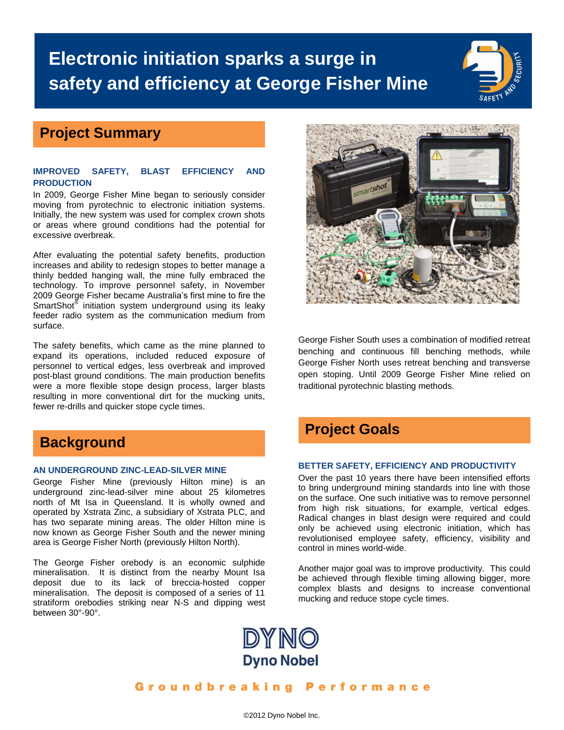# **Electronic initiation sparks a surge in safety and efficiency at George Fisher Mine**

### **Project Summary**

### **IMPROVED SAFETY, BLAST EFFICIENCY AND PRODUCTION**

In 2009, George Fisher Mine began to seriously consider moving from pyrotechnic to electronic initiation systems. Initially, the new system was used for complex crown shots or areas where ground conditions had the potential for excessive overbreak.

After evaluating the potential safety benefits, production increases and ability to redesign stopes to better manage a thinly bedded hanging wall, the mine fully embraced the technology. To improve personnel safety, in November 2009 George Fisher became Australia's first mine to fire the SmartShot<sup>®</sup> initiation system underground using its leaky feeder radio system as the communication medium from surface.

The safety benefits, which came as the mine planned to expand its operations, included reduced exposure of personnel to vertical edges, less overbreak and improved post-blast ground conditions. The main production benefits were a more flexible stope design process, larger blasts resulting in more conventional dirt for the mucking units, fewer re-drills and quicker stope cycle times.

## **Background**

### **AN UNDERGROUND ZINC-LEAD-SILVER MINE**

George Fisher Mine (previously Hilton mine) is an underground zinc-lead-silver mine about 25 kilometres north of Mt Isa in Queensland. It is wholly owned and operated by Xstrata Zinc, a subsidiary of Xstrata PLC, and has two separate mining areas. The older Hilton mine is now known as George Fisher South and the newer mining area is George Fisher North (previously Hilton North).

The George Fisher orebody is an economic sulphide mineralisation. It is distinct from the nearby Mount Isa deposit due to its lack of breccia-hosted copper mineralisation. The deposit is composed of a series of 11 stratiform orebodies striking near N-S and dipping west between 30°-90°.



George Fisher South uses a combination of modified retreat benching and continuous fill benching methods, while George Fisher North uses retreat benching and transverse open stoping. Until 2009 George Fisher Mine relied on traditional pyrotechnic blasting methods.

### **Project Goals**

#### **BETTER SAFETY, EFFICIENCY AND PRODUCTIVITY**

Over the past 10 years there have been intensified efforts to bring underground mining standards into line with those on the surface. One such initiative was to remove personnel from high risk situations, for example, vertical edges. Radical changes in blast design were required and could only be achieved using electronic initiation, which has revolutionised employee safety, efficiency, visibility and control in mines world-wide.

Another major goal was to improve productivity. This could be achieved through flexible timing allowing bigger, more complex blasts and designs to increase conventional mucking and reduce stope cycle times.



Groundbreaking Performance